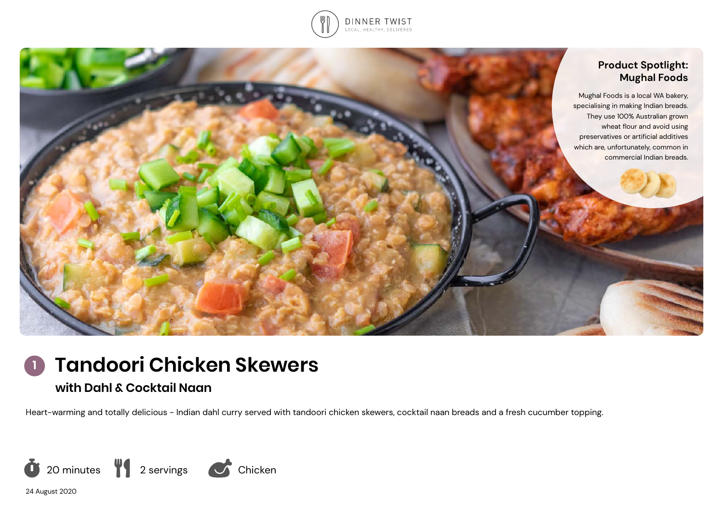



**Tandoori Chicken Skewers 1**

# **with Dahl & Cocktail Naan**

Heart-warming and totally delicious - Indian dahl curry served with tandoori chicken skewers, cocktail naan breads and a fresh cucumber topping.



24 August 2020